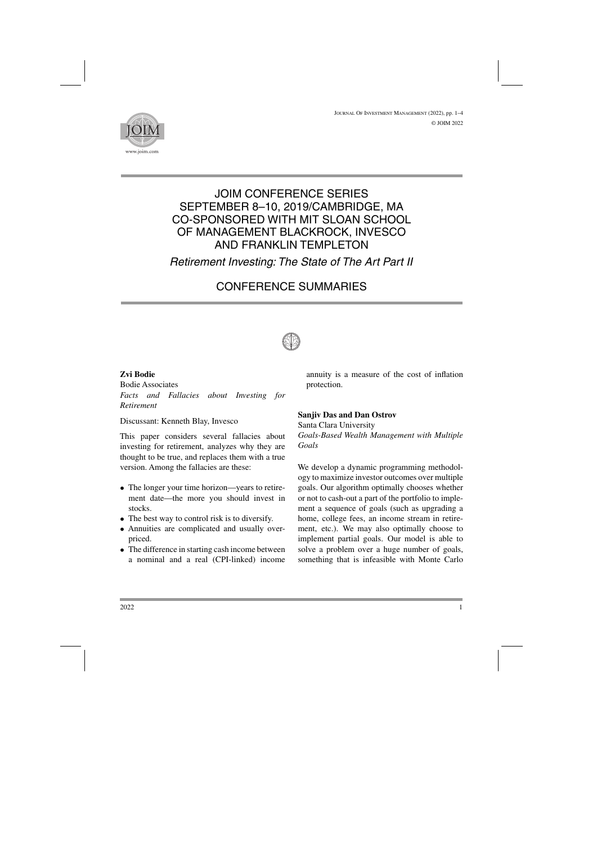<sup>J</sup>ournal <sup>O</sup>f <sup>I</sup>nvestment <sup>M</sup>anagement (2022), pp. 1–4 © JOIM 2022



## JOIM CONFERENCE SERIES SEPTEMBER 8–10, 2019/CAMBRIDGE, MA CO-SPONSORED WITH MIT SLOAN SCHOOL OF MANAGEMENT BLACKROCK, INVESCO AND FRANKLIN TEMPLETON

## *Retirement Investing: The State of The Art Part II*

# CONFERENCE SUMMARIES



### **Zvi Bodie**

Bodie Associates *Facts and Fallacies about Investing for Retirement*

Discussant: Kenneth Blay, Invesco

This paper considers several fallacies about investing for retirement, analyzes why they are thought to be true, and replaces them with a true version. Among the fallacies are these:

- The longer your time horizon—years to retirement date—the more you should invest in stocks.
- The best way to control risk is to diversify.
- Annuities are complicated and usually overpriced.
- The difference in starting cash income between a nominal and a real (CPI-linked) income

annuity is a measure of the cost of inflation protection.

### **Sanjiv Das and Dan Ostrov**

Santa Clara University *Goals-Based Wealth Management with Multiple Goals*

We develop a dynamic programming methodology to maximize investor outcomes over multiple goals. Our algorithm optimally chooses whether or not to cash-out a part of the portfolio to implement a sequence of goals (such as upgrading a home, college fees, an income stream in retirement, etc.). We may also optimally choose to implement partial goals. Our model is able to solve a problem over a huge number of goals, something that is infeasible with Monte Carlo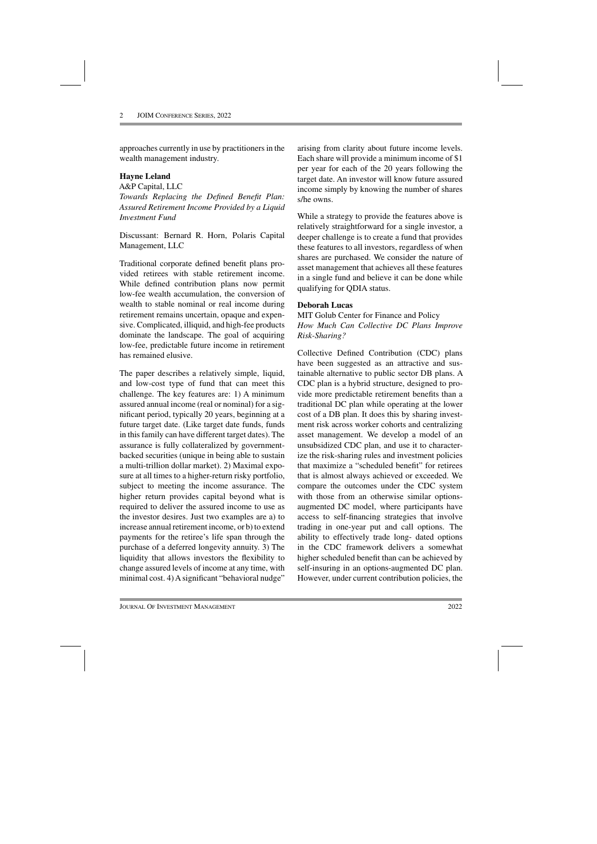approaches currently in use by practitioners in the wealth management industry.

#### **Hayne Leland**

A&P Capital, LLC *Towards Replacing the Defined Benefit Plan: Assured Retirement Income Provided by a Liquid Investment Fund*

Discussant: Bernard R. Horn, Polaris Capital Management, LLC

Traditional corporate defined benefit plans provided retirees with stable retirement income. While defined contribution plans now permit low-fee wealth accumulation, the conversion of wealth to stable nominal or real income during retirement remains uncertain, opaque and expensive. Complicated, illiquid, and high-fee products dominate the landscape. The goal of acquiring low-fee, predictable future income in retirement has remained elusive.

The paper describes a relatively simple, liquid, and low-cost type of fund that can meet this challenge. The key features are: 1) A minimum assured annual income (real or nominal) for a significant period, typically 20 years, beginning at a future target date. (Like target date funds, funds in this family can have different target dates). The assurance is fully collateralized by governmentbacked securities (unique in being able to sustain a multi-trillion dollar market). 2) Maximal exposure at all times to a higher-return risky portfolio, subject to meeting the income assurance. The higher return provides capital beyond what is required to deliver the assured income to use as the investor desires. Just two examples are a) to increase annual retirement income, or b) to extend payments for the retiree's life span through the purchase of a deferred longevity annuity. 3) The liquidity that allows investors the flexibility to change assured levels of income at any time, with minimal cost. 4) A significant "behavioral nudge"

arising from clarity about future income levels. Each share will provide a minimum income of \$1 per year for each of the 20 years following the target date. An investor will know future assured income simply by knowing the number of shares s/he owns.

While a strategy to provide the features above is relatively straightforward for a single investor, a deeper challenge is to create a fund that provides these features to all investors, regardless of when shares are purchased. We consider the nature of asset management that achieves all these features in a single fund and believe it can be done while qualifying for QDIA status.

#### **Deborah Lucas**

MIT Golub Center for Finance and Policy *How Much Can Collective DC Plans Improve Risk-Sharing?*

Collective Defined Contribution (CDC) plans have been suggested as an attractive and sustainable alternative to public sector DB plans. A CDC plan is a hybrid structure, designed to provide more predictable retirement benefits than a traditional DC plan while operating at the lower cost of a DB plan. It does this by sharing investment risk across worker cohorts and centralizing asset management. We develop a model of an unsubsidized CDC plan, and use it to characterize the risk-sharing rules and investment policies that maximize a "scheduled benefit" for retirees that is almost always achieved or exceeded. We compare the outcomes under the CDC system with those from an otherwise similar optionsaugmented DC model, where participants have access to self-financing strategies that involve trading in one-year put and call options. The ability to effectively trade long- dated options in the CDC framework delivers a somewhat higher scheduled benefit than can be achieved by self-insuring in an options-augmented DC plan. However, under current contribution policies, the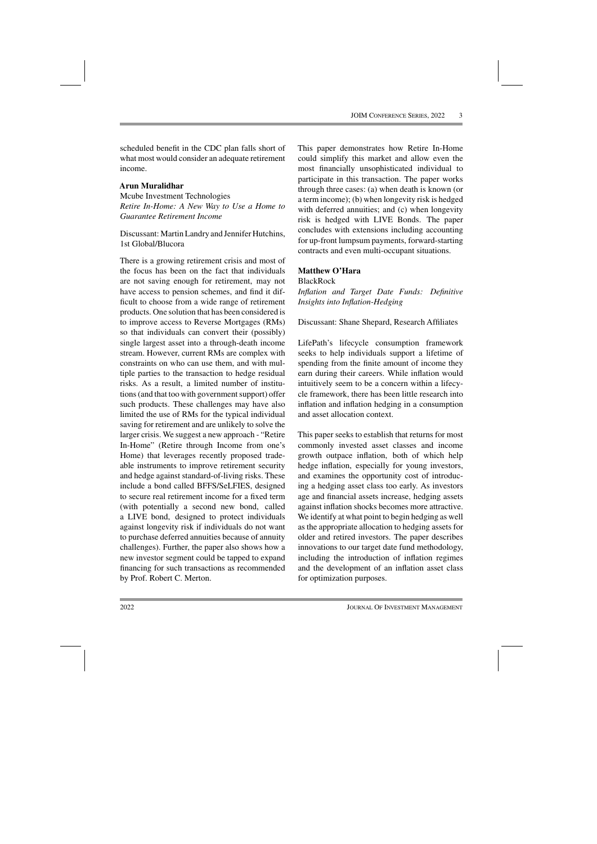scheduled benefit in the CDC plan falls short of what most would consider an adequate retirement income.

#### **Arun Muralidhar**

Mcube Investment Technologies *Retire In-Home: A New Way to Use a Home to Guarantee Retirement Income*

Discussant: Martin Landry and Jennifer Hutchins, 1st Global/Blucora

There is a growing retirement crisis and most of the focus has been on the fact that individuals are not saving enough for retirement, may not have access to pension schemes, and find it difficult to choose from a wide range of retirement products. One solution that has been considered is to improve access to Reverse Mortgages (RMs) so that individuals can convert their (possibly) single largest asset into a through-death income stream. However, current RMs are complex with constraints on who can use them, and with multiple parties to the transaction to hedge residual risks. As a result, a limited number of institutions (and that too with government support) offer such products. These challenges may have also limited the use of RMs for the typical individual saving for retirement and are unlikely to solve the larger crisis. We suggest a new approach - "Retire In-Home" (Retire through Income from one's Home) that leverages recently proposed tradeable instruments to improve retirement security and hedge against standard-of-living risks. These include a bond called BFFS/SeLFIES, designed to secure real retirement income for a fixed term (with potentially a second new bond, called a LIVE bond, designed to protect individuals against longevity risk if individuals do not want to purchase deferred annuities because of annuity challenges). Further, the paper also shows how a new investor segment could be tapped to expand financing for such transactions as recommended by Prof. Robert C. Merton.

This paper demonstrates how Retire In-Home could simplify this market and allow even the most financially unsophisticated individual to participate in this transaction. The paper works through three cases: (a) when death is known (or a term income); (b) when longevity risk is hedged with deferred annuities; and (c) when longevity risk is hedged with LIVE Bonds. The paper concludes with extensions including accounting for up-front lumpsum payments, forward-starting contracts and even multi-occupant situations.

#### **Matthew O'Hara**

BlackRock

*Inflation and Target Date Funds: Definitive Insights into Inflation-Hedging*

Discussant: Shane Shepard, Research Affiliates

LifePath's lifecycle consumption framework seeks to help individuals support a lifetime of spending from the finite amount of income they earn during their careers. While inflation would intuitively seem to be a concern within a lifecycle framework, there has been little research into inflation and inflation hedging in a consumption and asset allocation context.

This paper seeks to establish that returns for most commonly invested asset classes and income growth outpace inflation, both of which help hedge inflation, especially for young investors, and examines the opportunity cost of introducing a hedging asset class too early. As investors age and financial assets increase, hedging assets against inflation shocks becomes more attractive. We identify at what point to begin hedging as well as the appropriate allocation to hedging assets for older and retired investors. The paper describes innovations to our target date fund methodology, including the introduction of inflation regimes and the development of an inflation asset class for optimization purposes.